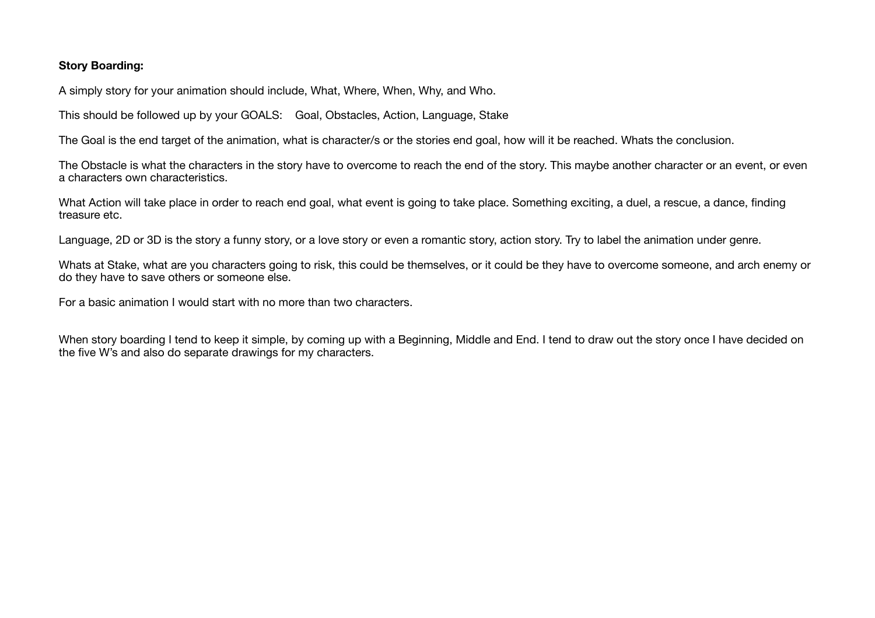## **Story Boarding:**

A simply story for your animation should include, What, Where, When, Why, and Who.

This should be followed up by your GOALS: Goal, Obstacles, Action, Language, Stake

The Goal is the end target of the animation, what is character/s or the stories end goal, how will it be reached. Whats the conclusion.

The Obstacle is what the characters in the story have to overcome to reach the end of the story. This maybe another character or an event, or even a characters own characteristics.

What Action will take place in order to reach end goal, what event is going to take place. Something exciting, a duel, a rescue, a dance, finding treasure etc.

Language, 2D or 3D is the story a funny story, or a love story or even a romantic story, action story. Try to label the animation under genre.

Whats at Stake, what are you characters going to risk, this could be themselves, or it could be they have to overcome someone, and arch enemy or do they have to save others or someone else.

For a basic animation I would start with no more than two characters.

When story boarding I tend to keep it simple, by coming up with a Beginning, Middle and End. I tend to draw out the story once I have decided on the five W's and also do separate drawings for my characters.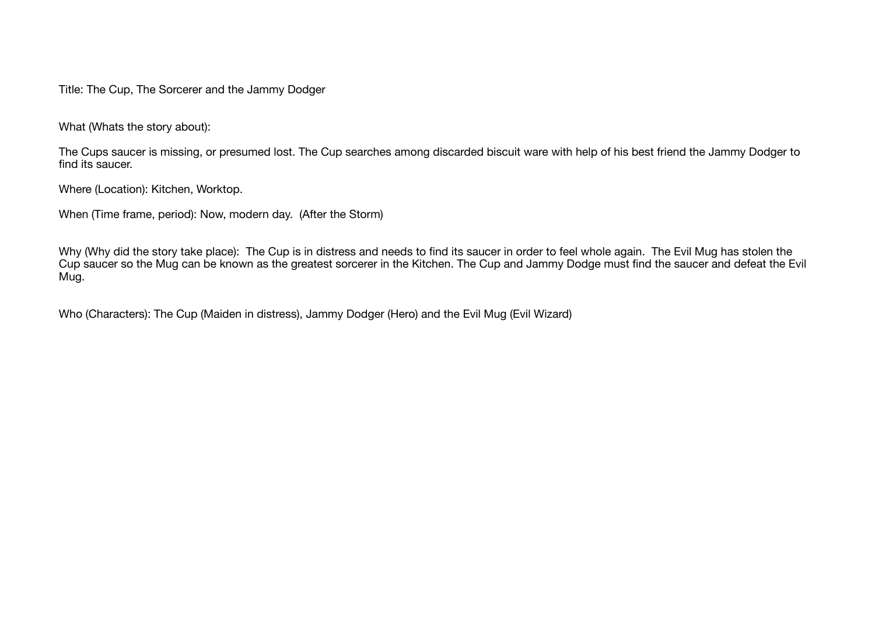Title: The Cup, The Sorcerer and the Jammy Dodger

What (Whats the story about):

The Cups saucer is missing, or presumed lost. The Cup searches among discarded biscuit ware with help of his best friend the Jammy Dodger to find its saucer.

Where (Location): Kitchen, Worktop.

When (Time frame, period): Now, modern day. (After the Storm)

Why (Why did the story take place): The Cup is in distress and needs to find its saucer in order to feel whole again. The Evil Mug has stolen the Cup saucer so the Mug can be known as the greatest sorcerer in the Kitchen. The Cup and Jammy Dodge must find the saucer and defeat the Evil Mug.

Who (Characters): The Cup (Maiden in distress), Jammy Dodger (Hero) and the Evil Mug (Evil Wizard)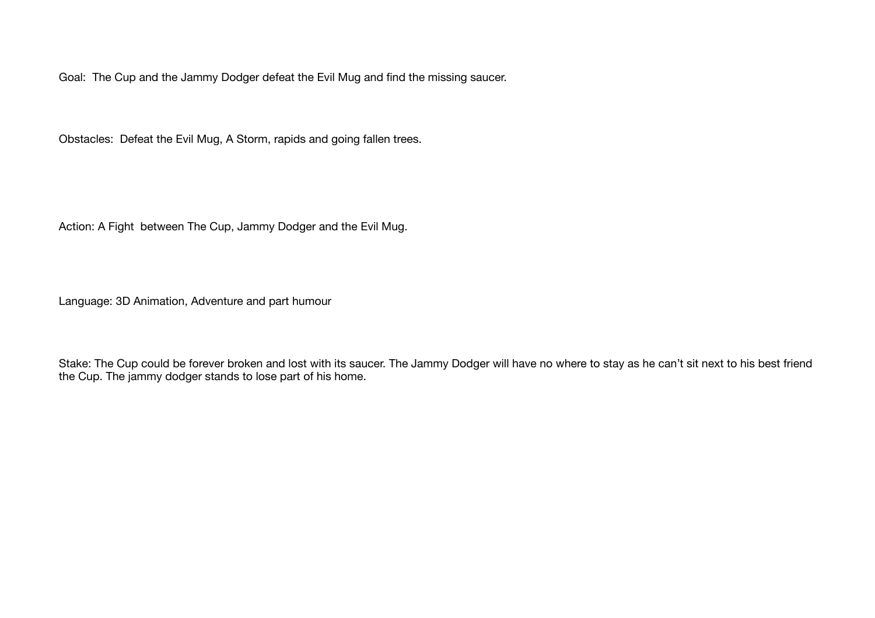Goal: The Cup and the Jammy Dodger defeat the Evil Mug and find the missing saucer.

Obstacles: Defeat the Evil Mug, A Storm, rapids and going fallen trees.

Action: A Fight between The Cup, Jammy Dodger and the Evil Mug.

Language: 3D Animation, Adventure and part humour

Stake: The Cup could be forever broken and lost with its saucer. The Jammy Dodger will have no where to stay as he can't sit next to his best friend the Cup. The jammy dodger stands to lose part of his home.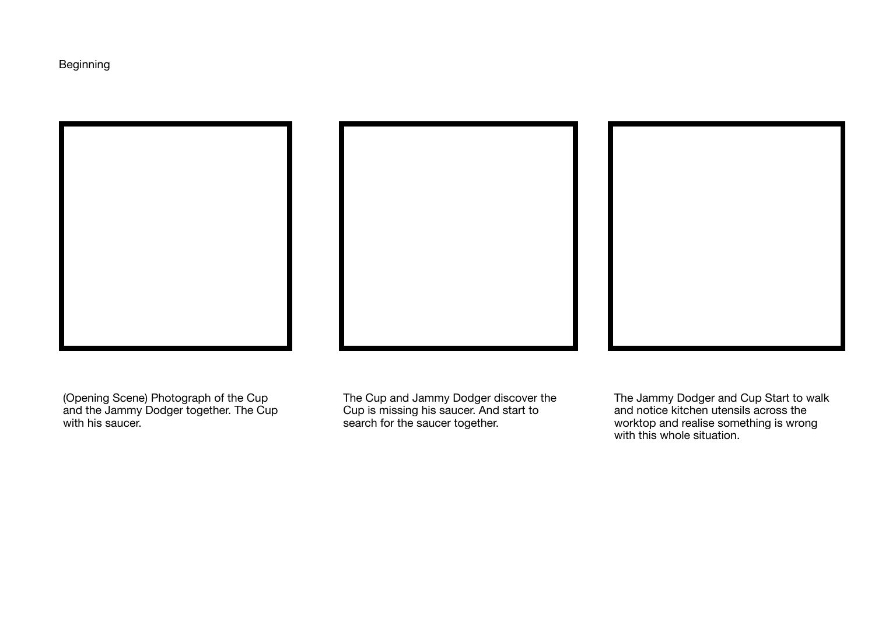Beginning







(Opening Scene) Photograph of the Cup and the Jammy Dodger together. The Cup with his saucer.

The Cup and Jammy Dodger discover the Cup is missing his saucer. And start to search for the saucer together.

The Jammy Dodger and Cup Start to walk and notice kitchen utensils across the worktop and realise something is wrong with this whole situation.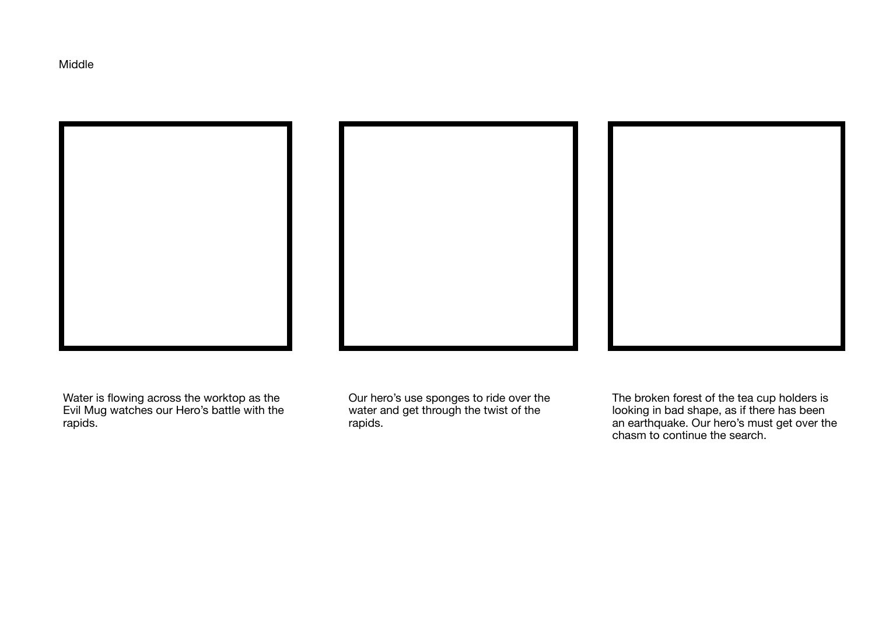Middle







Water is flowing across the worktop as the Evil Mug watches our Hero's battle with the rapids.

Our hero's use sponges to ride over the water and get through the twist of the rapids.

The broken forest of the tea cup holders is looking in bad shape, as if there has been an earthquake. Our hero's must get over the chasm to continue the search.